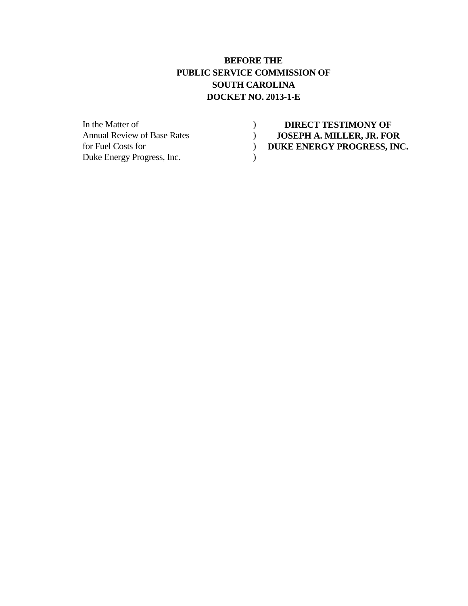#### **BEFORE THE PUBLIC SERVICE COMMISSION OF SOUTH CAROLINA DOCKET NO. 2013-1-E**

Duke Energy Progress, Inc.

#### In the Matter of **1988** and **1988** and **1988** and **1988** and **1988** and **1988** and **2088 CONSEPH A. MILLER. JR. FO** Annual Review of Base Rates **) JOSEPH A. MILLER, JR. FOR**<br>for Fuel Costs for **)** DUKE ENERGY PROGRESS, INC **for DUKE ENERGY PROGRESS, INC.**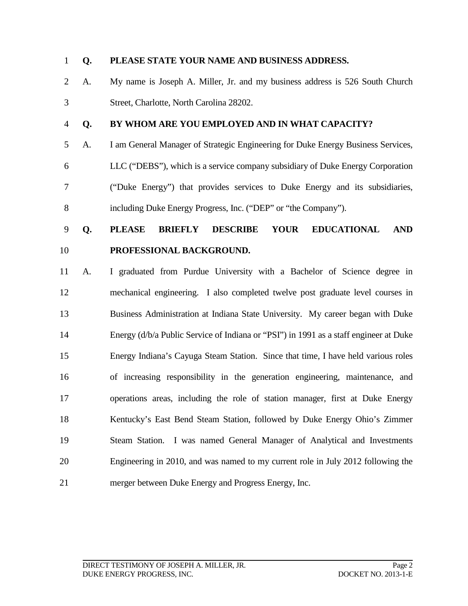#### **Q. PLEASE STATE YOUR NAME AND BUSINESS ADDRESS.**

- A. My name is Joseph A. Miller, Jr. and my business address is 526 South Church Street, Charlotte, North Carolina 28202.
- 

#### **Q. BY WHOM ARE YOU EMPLOYED AND IN WHAT CAPACITY?**

 A. I am General Manager of Strategic Engineering for Duke Energy Business Services, LLC ("DEBS"), which is a service company subsidiary of Duke Energy Corporation ("Duke Energy") that provides services to Duke Energy and its subsidiaries, including Duke Energy Progress, Inc. ("DEP" or "the Company").

## **Q. PLEASE BRIEFLY DESCRIBE YOUR EDUCATIONAL AND PROFESSIONAL BACKGROUND.**

 A. I graduated from Purdue University with a Bachelor of Science degree in mechanical engineering. I also completed twelve post graduate level courses in Business Administration at Indiana State University. My career began with Duke Energy (d/b/a Public Service of Indiana or "PSI") in 1991 as a staff engineer at Duke Energy Indiana's Cayuga Steam Station. Since that time, I have held various roles of increasing responsibility in the generation engineering, maintenance, and operations areas, including the role of station manager, first at Duke Energy 18 Kentucky's East Bend Steam Station, followed by Duke Energy Ohio's Zimmer Steam Station. I was named General Manager of Analytical and Investments Engineering in 2010, and was named to my current role in July 2012 following the merger between Duke Energy and Progress Energy, Inc.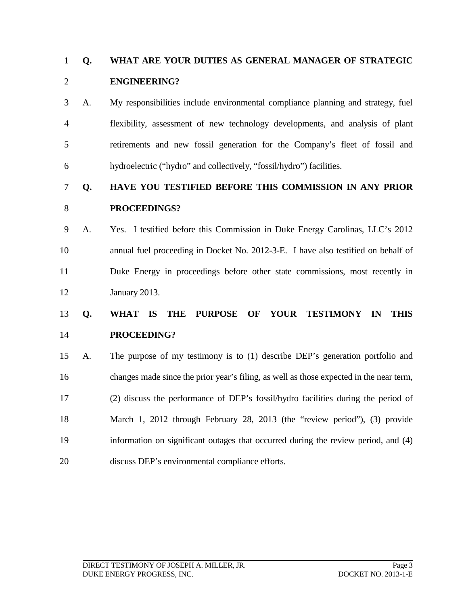## **Q. WHAT ARE YOUR DUTIES AS GENERAL MANAGER OF STRATEGIC ENGINEERING?**

 A. My responsibilities include environmental compliance planning and strategy, fuel flexibility, assessment of new technology developments, and analysis of plant retirements and new fossil generation for the Company's fleet of fossil and hydroelectric ("hydro" and collectively, "fossil/hydro") facilities.

### **Q. HAVE YOU TESTIFIED BEFORE THIS COMMISSION IN ANY PRIOR PROCEEDINGS?**

 A. Yes. I testified before this Commission in Duke Energy Carolinas, LLC's 2012 annual fuel proceeding in Docket No. 2012-3-E. I have also testified on behalf of Duke Energy in proceedings before other state commissions, most recently in January 2013.

## **Q. WHAT IS THE PURPOSE OF YOUR TESTIMONY IN THIS PROCEEDING?**

 A. The purpose of my testimony is to (1) describe DEP's generation portfolio and changes made since the prior year's filing, as well as those expected in the near term, (2) discuss the performance of DEP's fossil/hydro facilities during the period of March 1, 2012 through February 28, 2013 (the "review period"), (3) provide information on significant outages that occurred during the review period, and (4) discuss DEP's environmental compliance efforts.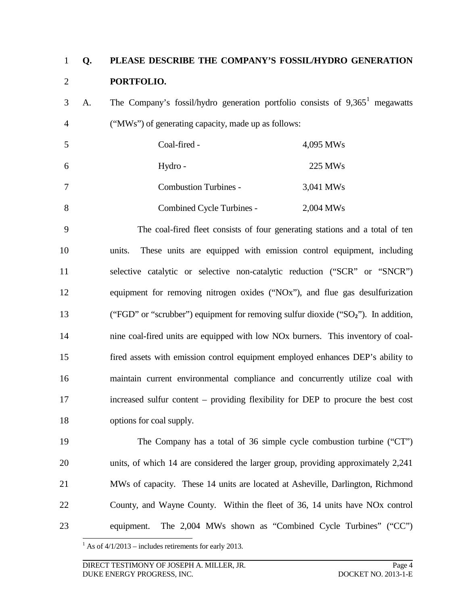## **Q. PLEASE DESCRIBE THE COMPANY'S FOSSIL/HYDRO GENERATION PORTFOLIO.**

3 A. The Company's fossil/hydro generation portfolio consists of  $9,365<sup>1</sup>$  $9,365<sup>1</sup>$  $9,365<sup>1</sup>$  megawatts ("MWs") of generating capacity, made up as follows:

|   | Coal-fired -              | 4,095 MWs           |
|---|---------------------------|---------------------|
| 6 | Hydro -                   | 225 MW <sub>s</sub> |
|   | Combustion Turbines -     | 3,041 MWs           |
|   | Combined Cycle Turbines - | 2,004 MWs           |

 The coal-fired fleet consists of four generating stations and a total of ten units. These units are equipped with emission control equipment, including selective catalytic or selective non-catalytic reduction ("SCR" or "SNCR") equipment for removing nitrogen oxides ("NOx"), and flue gas desulfurization 13 ("FGD" or "scrubber") equipment for removing sulfur dioxide ("SO<sub>2</sub>"). In addition, nine coal-fired units are equipped with low NOx burners. This inventory of coal- fired assets with emission control equipment employed enhances DEP's ability to maintain current environmental compliance and concurrently utilize coal with increased sulfur content – providing flexibility for DEP to procure the best cost options for coal supply.

 The Company has a total of 36 simple cycle combustion turbine ("CT") units, of which 14 are considered the larger group, providing approximately 2,241 MWs of capacity. These 14 units are located at Asheville, Darlington, Richmond County, and Wayne County. Within the fleet of 36, 14 units have NOx control equipment. The 2,004 MWs shown as "Combined Cycle Turbines" ("CC")

<span id="page-3-0"></span>As of 4/1/2013 – includes retirements for early 2013.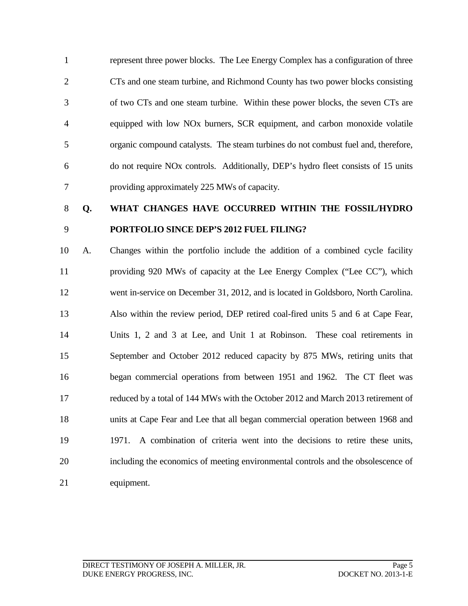represent three power blocks. The Lee Energy Complex has a configuration of three CTs and one steam turbine, and Richmond County has two power blocks consisting of two CTs and one steam turbine. Within these power blocks, the seven CTs are equipped with low NOx burners, SCR equipment, and carbon monoxide volatile organic compound catalysts. The steam turbines do not combust fuel and, therefore, do not require NOx controls. Additionally, DEP's hydro fleet consists of 15 units providing approximately 225 MWs of capacity.

## **Q. WHAT CHANGES HAVE OCCURRED WITHIN THE FOSSIL/HYDRO PORTFOLIO SINCE DEP'S 2012 FUEL FILING?**

 A. Changes within the portfolio include the addition of a combined cycle facility providing 920 MWs of capacity at the Lee Energy Complex ("Lee CC"), which went in-service on December 31, 2012, and is located in Goldsboro, North Carolina. Also within the review period, DEP retired coal-fired units 5 and 6 at Cape Fear, Units 1, 2 and 3 at Lee, and Unit 1 at Robinson. These coal retirements in September and October 2012 reduced capacity by 875 MWs, retiring units that began commercial operations from between 1951 and 1962. The CT fleet was reduced by a total of 144 MWs with the October 2012 and March 2013 retirement of units at Cape Fear and Lee that all began commercial operation between 1968 and 1971. A combination of criteria went into the decisions to retire these units, including the economics of meeting environmental controls and the obsolescence of equipment.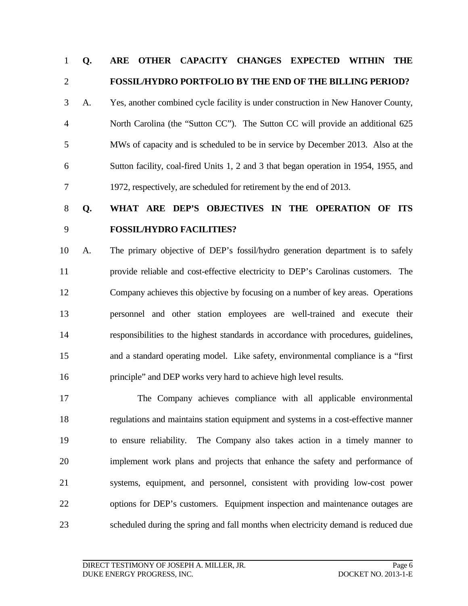#### **Q. ARE OTHER CAPACITY CHANGES EXPECTED WITHIN THE FOSSIL/HYDRO PORTFOLIO BY THE END OF THE BILLING PERIOD?**

 A. Yes, another combined cycle facility is under construction in New Hanover County, North Carolina (the "Sutton CC"). The Sutton CC will provide an additional 625 MWs of capacity and is scheduled to be in service by December 2013. Also at the Sutton facility, coal-fired Units 1, 2 and 3 that began operation in 1954, 1955, and 1972, respectively, are scheduled for retirement by the end of 2013.

# **Q. WHAT ARE DEP'S OBJECTIVES IN THE OPERATION OF ITS FOSSIL/HYDRO FACILITIES?**

 A. The primary objective of DEP's fossil/hydro generation department is to safely provide reliable and cost-effective electricity to DEP's Carolinas customers. The Company achieves this objective by focusing on a number of key areas. Operations personnel and other station employees are well-trained and execute their responsibilities to the highest standards in accordance with procedures, guidelines, and a standard operating model. Like safety, environmental compliance is a "first principle" and DEP works very hard to achieve high level results.

 The Company achieves compliance with all applicable environmental regulations and maintains station equipment and systems in a cost-effective manner to ensure reliability. The Company also takes action in a timely manner to implement work plans and projects that enhance the safety and performance of systems, equipment, and personnel, consistent with providing low-cost power options for DEP's customers. Equipment inspection and maintenance outages are scheduled during the spring and fall months when electricity demand is reduced due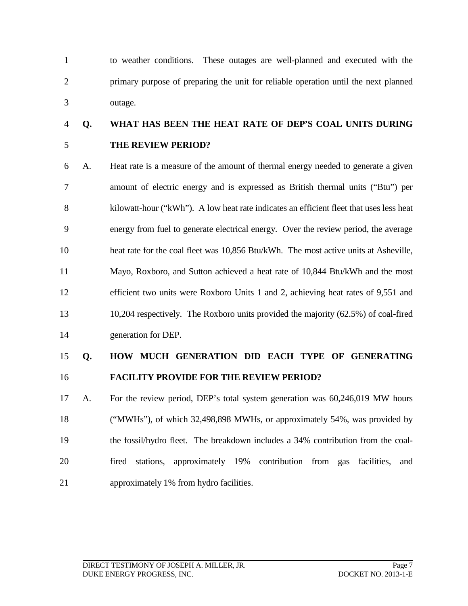to weather conditions. These outages are well-planned and executed with the primary purpose of preparing the unit for reliable operation until the next planned outage.

## **Q. WHAT HAS BEEN THE HEAT RATE OF DEP'S COAL UNITS DURING THE REVIEW PERIOD?**

 A. Heat rate is a measure of the amount of thermal energy needed to generate a given amount of electric energy and is expressed as British thermal units ("Btu") per kilowatt-hour ("kWh"). A low heat rate indicates an efficient fleet that uses less heat energy from fuel to generate electrical energy. Over the review period, the average heat rate for the coal fleet was 10,856 Btu/kWh. The most active units at Asheville, Mayo, Roxboro, and Sutton achieved a heat rate of 10,844 Btu/kWh and the most efficient two units were Roxboro Units 1 and 2, achieving heat rates of 9,551 and 10,204 respectively. The Roxboro units provided the majority (62.5%) of coal-fired generation for DEP.

### **Q. HOW MUCH GENERATION DID EACH TYPE OF GENERATING FACILITY PROVIDE FOR THE REVIEW PERIOD?**

 A. For the review period, DEP's total system generation was 60,246,019 MW hours ("MWHs"), of which 32,498,898 MWHs, or approximately 54%, was provided by the fossil/hydro fleet. The breakdown includes a 34% contribution from the coal- fired stations, approximately 19% contribution from gas facilities, and approximately 1% from hydro facilities.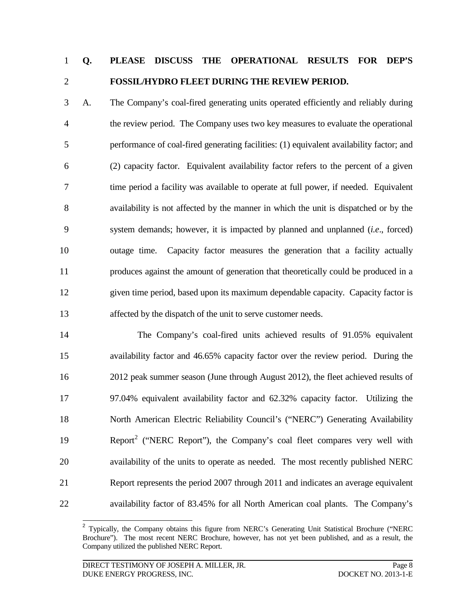## **Q. PLEASE DISCUSS THE OPERATIONAL RESULTS FOR DEP'S FOSSIL/HYDRO FLEET DURING THE REVIEW PERIOD.**

 A. The Company's coal-fired generating units operated efficiently and reliably during the review period. The Company uses two key measures to evaluate the operational performance of coal-fired generating facilities: (1) equivalent availability factor; and (2) capacity factor. Equivalent availability factor refers to the percent of a given time period a facility was available to operate at full power, if needed. Equivalent availability is not affected by the manner in which the unit is dispatched or by the system demands; however, it is impacted by planned and unplanned (*i.e*., forced) outage time. Capacity factor measures the generation that a facility actually produces against the amount of generation that theoretically could be produced in a given time period, based upon its maximum dependable capacity. Capacity factor is affected by the dispatch of the unit to serve customer needs.

 The Company's coal-fired units achieved results of 91.05% equivalent availability factor and 46.65% capacity factor over the review period. During the 2012 peak summer season (June through August 2012), the fleet achieved results of 97.04% equivalent availability factor and 62.32% capacity factor. Utilizing the 18 North American Electric Reliability Council's ("NERC") Generating Availability 19 Report<sup>[2](#page-7-0)</sup> ("NERC Report"), the Company's coal fleet compares very well with availability of the units to operate as needed. The most recently published NERC Report represents the period 2007 through 2011 and indicates an average equivalent availability factor of 83.45% for all North American coal plants. The Company's

<span id="page-7-0"></span><sup>&</sup>lt;sup>2</sup> Typically, the Company obtains this figure from NERC's Generating Unit Statistical Brochure ("NERC Brochure"). The most recent NERC Brochure, however, has not yet been published, and as a result, the Company utilized the published NERC Report.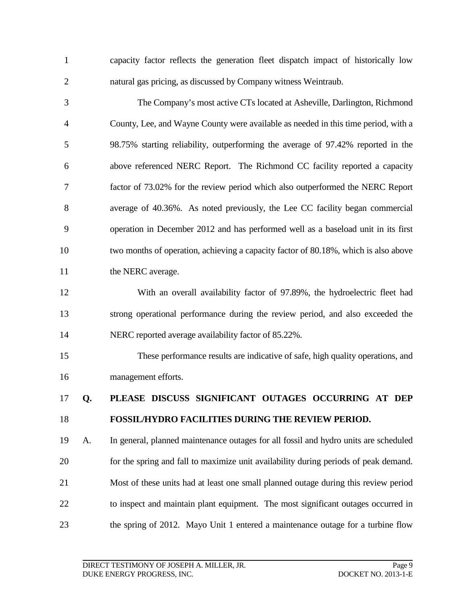capacity factor reflects the generation fleet dispatch impact of historically low natural gas pricing, as discussed by Company witness Weintraub.

 The Company's most active CTs located at Asheville, Darlington, Richmond County, Lee, and Wayne County were available as needed in this time period, with a 98.75% starting reliability, outperforming the average of 97.42% reported in the above referenced NERC Report. The Richmond CC facility reported a capacity factor of 73.02% for the review period which also outperformed the NERC Report average of 40.36%. As noted previously, the Lee CC facility began commercial operation in December 2012 and has performed well as a baseload unit in its first two months of operation, achieving a capacity factor of 80.18%, which is also above 11 the NERC average.

 With an overall availability factor of 97.89%, the hydroelectric fleet had strong operational performance during the review period, and also exceeded the NERC reported average availability factor of 85.22%.

 These performance results are indicative of safe, high quality operations, and management efforts.

## **Q. PLEASE DISCUSS SIGNIFICANT OUTAGES OCCURRING AT DEP FOSSIL/HYDRO FACILITIES DURING THE REVIEW PERIOD.**

 A. In general, planned maintenance outages for all fossil and hydro units are scheduled for the spring and fall to maximize unit availability during periods of peak demand. Most of these units had at least one small planned outage during this review period to inspect and maintain plant equipment. The most significant outages occurred in the spring of 2012. Mayo Unit 1 entered a maintenance outage for a turbine flow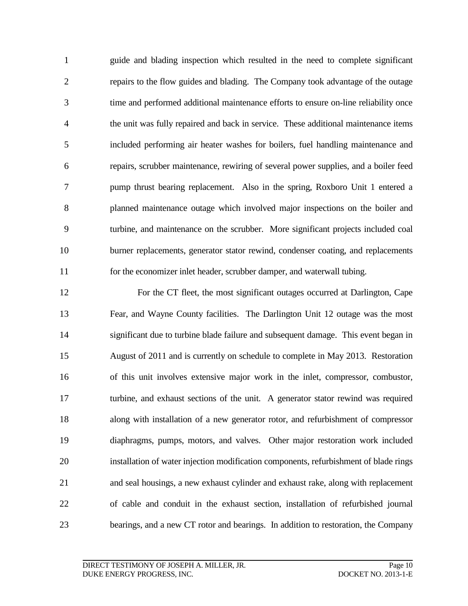guide and blading inspection which resulted in the need to complete significant repairs to the flow guides and blading. The Company took advantage of the outage time and performed additional maintenance efforts to ensure on-line reliability once the unit was fully repaired and back in service. These additional maintenance items included performing air heater washes for boilers, fuel handling maintenance and repairs, scrubber maintenance, rewiring of several power supplies, and a boiler feed pump thrust bearing replacement. Also in the spring, Roxboro Unit 1 entered a planned maintenance outage which involved major inspections on the boiler and turbine, and maintenance on the scrubber. More significant projects included coal burner replacements, generator stator rewind, condenser coating, and replacements for the economizer inlet header, scrubber damper, and waterwall tubing.

 For the CT fleet, the most significant outages occurred at Darlington, Cape Fear, and Wayne County facilities. The Darlington Unit 12 outage was the most significant due to turbine blade failure and subsequent damage. This event began in August of 2011 and is currently on schedule to complete in May 2013. Restoration of this unit involves extensive major work in the inlet, compressor, combustor, turbine, and exhaust sections of the unit. A generator stator rewind was required along with installation of a new generator rotor, and refurbishment of compressor diaphragms, pumps, motors, and valves. Other major restoration work included installation of water injection modification components, refurbishment of blade rings and seal housings, a new exhaust cylinder and exhaust rake, along with replacement of cable and conduit in the exhaust section, installation of refurbished journal bearings, and a new CT rotor and bearings. In addition to restoration, the Company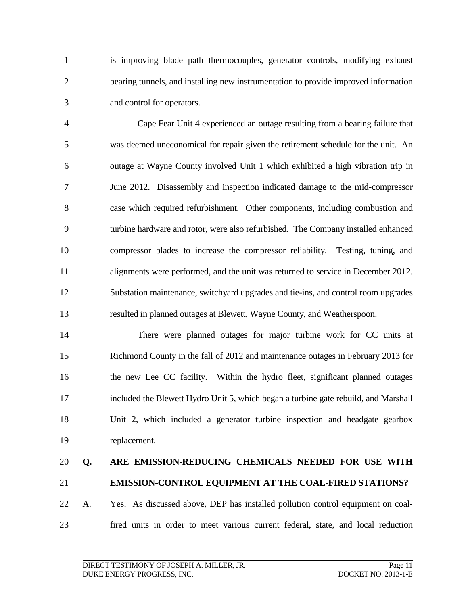is improving blade path thermocouples, generator controls, modifying exhaust bearing tunnels, and installing new instrumentation to provide improved information and control for operators.

 Cape Fear Unit 4 experienced an outage resulting from a bearing failure that was deemed uneconomical for repair given the retirement schedule for the unit. An outage at Wayne County involved Unit 1 which exhibited a high vibration trip in June 2012. Disassembly and inspection indicated damage to the mid-compressor case which required refurbishment. Other components, including combustion and turbine hardware and rotor, were also refurbished. The Company installed enhanced compressor blades to increase the compressor reliability. Testing, tuning, and alignments were performed, and the unit was returned to service in December 2012. Substation maintenance, switchyard upgrades and tie-ins, and control room upgrades resulted in planned outages at Blewett, Wayne County, and Weatherspoon.

 There were planned outages for major turbine work for CC units at Richmond County in the fall of 2012 and maintenance outages in February 2013 for the new Lee CC facility. Within the hydro fleet, significant planned outages included the Blewett Hydro Unit 5, which began a turbine gate rebuild, and Marshall Unit 2, which included a generator turbine inspection and headgate gearbox replacement.

## **Q. ARE EMISSION-REDUCING CHEMICALS NEEDED FOR USE WITH EMISSION-CONTROL EQUIPMENT AT THE COAL-FIRED STATIONS?**

## A. Yes. As discussed above, DEP has installed pollution control equipment on coal-fired units in order to meet various current federal, state, and local reduction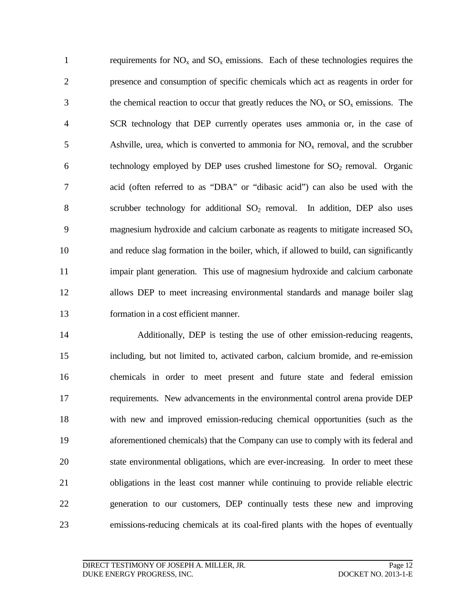1 requirements for  $NO_x$  and  $SO_x$  emissions. Each of these technologies requires the presence and consumption of specific chemicals which act as reagents in order for 3 the chemical reaction to occur that greatly reduces the  $NO<sub>x</sub>$  or  $SO<sub>x</sub>$  emissions. The SCR technology that DEP currently operates uses ammonia or, in the case of 5 Ashville, urea, which is converted to ammonia for  $NO<sub>x</sub>$  removal, and the scrubber 6 technology employed by DEP uses crushed limestone for  $SO<sub>2</sub>$  removal. Organic acid (often referred to as "DBA" or "dibasic acid") can also be used with the 8 scrubber technology for additional  $SO<sub>2</sub>$  removal. In addition, DEP also uses 9 magnesium hydroxide and calcium carbonate as reagents to mitigate increased  $SO_x$  and reduce slag formation in the boiler, which, if allowed to build, can significantly impair plant generation. This use of magnesium hydroxide and calcium carbonate allows DEP to meet increasing environmental standards and manage boiler slag formation in a cost efficient manner.

 Additionally, DEP is testing the use of other emission-reducing reagents, including, but not limited to, activated carbon, calcium bromide, and re-emission chemicals in order to meet present and future state and federal emission requirements. New advancements in the environmental control arena provide DEP with new and improved emission-reducing chemical opportunities (such as the aforementioned chemicals) that the Company can use to comply with its federal and state environmental obligations, which are ever-increasing. In order to meet these obligations in the least cost manner while continuing to provide reliable electric generation to our customers, DEP continually tests these new and improving emissions-reducing chemicals at its coal-fired plants with the hopes of eventually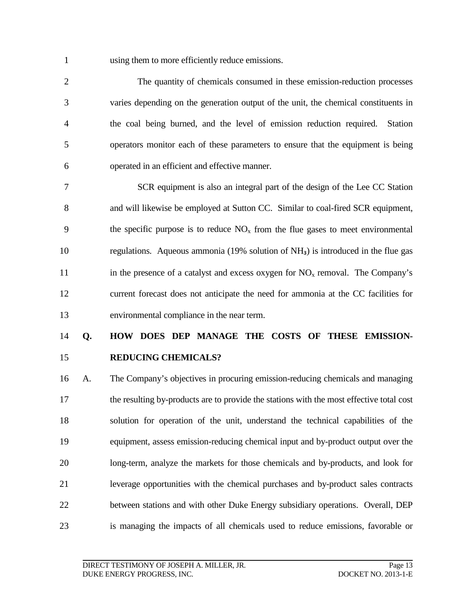using them to more efficiently reduce emissions.

 The quantity of chemicals consumed in these emission-reduction processes varies depending on the generation output of the unit, the chemical constituents in the coal being burned, and the level of emission reduction required. Station operators monitor each of these parameters to ensure that the equipment is being operated in an efficient and effective manner.

 SCR equipment is also an integral part of the design of the Lee CC Station and will likewise be employed at Sutton CC. Similar to coal-fired SCR equipment, 9 the specific purpose is to reduce  $NO<sub>x</sub>$  from the flue gases to meet environmental 10 regulations. Aqueous ammonia (19% solution of NH<sub>3</sub>) is introduced in the flue gas 11 in the presence of a catalyst and excess oxygen for  $NO<sub>x</sub>$  removal. The Company's current forecast does not anticipate the need for ammonia at the CC facilities for environmental compliance in the near term.

### **Q. HOW DOES DEP MANAGE THE COSTS OF THESE EMISSION-REDUCING CHEMICALS?**

 A. The Company's objectives in procuring emission-reducing chemicals and managing the resulting by-products are to provide the stations with the most effective total cost solution for operation of the unit, understand the technical capabilities of the equipment, assess emission-reducing chemical input and by-product output over the long-term, analyze the markets for those chemicals and by-products, and look for leverage opportunities with the chemical purchases and by-product sales contracts between stations and with other Duke Energy subsidiary operations. Overall, DEP is managing the impacts of all chemicals used to reduce emissions, favorable or